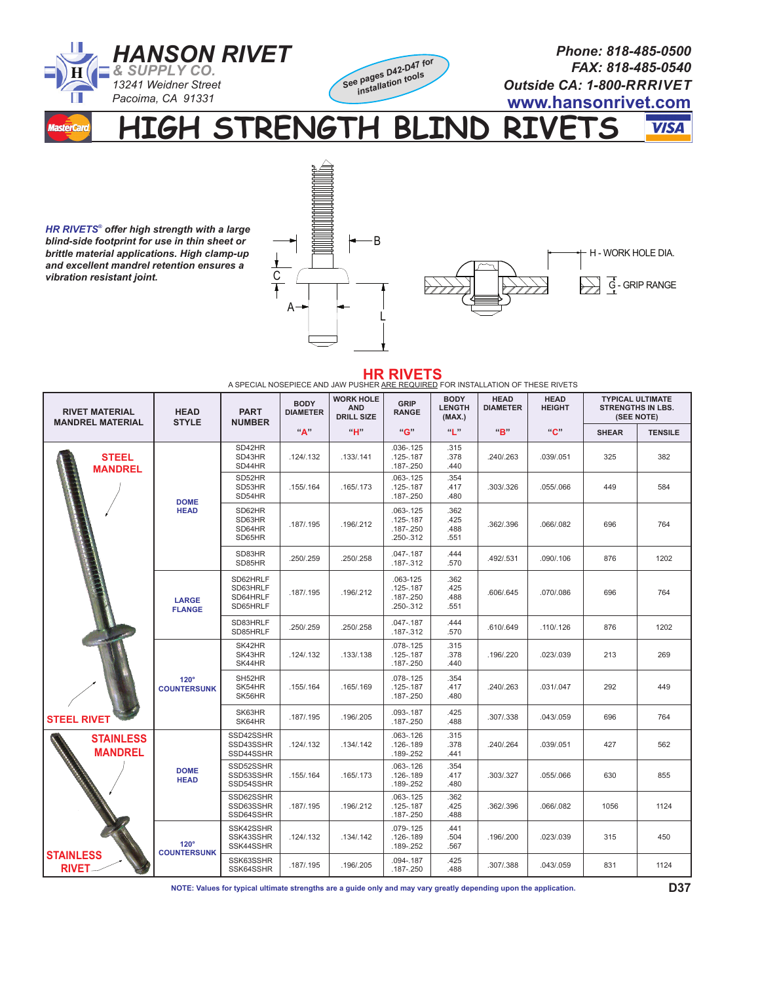

**HIGH STRENGTH BLIND RIVETS VISA** 

*HR RIVETS® offer high strength with a large blind-side footprint for use in thin sheet or brittle material applications. High clamp-up and excellent mandrel retention ensures a vibration resistant joint.*



H - WORK HOLE DIA. G-GRIP RANGE

| <b>HR RIVETS</b><br>A SPECIAL NOSEPIECE AND JAW PUSHER ARE REQUIRED FOR INSTALLATION OF THESE RIVETS |                                   |                                              |                                |                                                     |                                                              |                                        |                                |                              |                                                                   |                |  |
|------------------------------------------------------------------------------------------------------|-----------------------------------|----------------------------------------------|--------------------------------|-----------------------------------------------------|--------------------------------------------------------------|----------------------------------------|--------------------------------|------------------------------|-------------------------------------------------------------------|----------------|--|
| <b>RIVET MATERIAL</b><br><b>MANDREL MATERIAL</b>                                                     | <b>HEAD</b><br><b>STYLE</b>       | <b>PART</b><br><b>NUMBER</b>                 | <b>BODY</b><br><b>DIAMETER</b> | <b>WORK HOLE</b><br><b>AND</b><br><b>DRILL SIZE</b> | GRIP<br><b>RANGE</b>                                         | <b>BODY</b><br><b>LENGTH</b><br>(MAX.) | <b>HEAD</b><br><b>DIAMETER</b> | <b>HEAD</b><br><b>HEIGHT</b> | <b>TYPICAL ULTIMATE</b><br><b>STRENGTHS IN LBS.</b><br>(SEE NOTE) |                |  |
|                                                                                                      |                                   |                                              | "А"                            | "H"                                                 | "G"                                                          | <b>66 32</b>                           | "B"                            | "C"                          | <b>SHEAR</b>                                                      | <b>TENSILE</b> |  |
| <b>STEEL</b><br><b>MANDREL</b><br><b>STEEL RIVET</b>                                                 | <b>DOME</b><br><b>HEAD</b>        | SD42HR<br>SD43HR<br>SD44HR                   | .124/0.132                     | .133/.141                                           | $.036 - .125$<br>$.125 - .187$<br>$.187 - .250$              | .315<br>.378<br>.440                   | .240/.263                      | .039/.051                    | 325                                                               | 382            |  |
|                                                                                                      |                                   | SD52HR<br>SD53HR<br>SD54HR                   | .155/.164                      | .165/.173                                           | $.063 - .125$<br>$.125 - .187$<br>$.187 - .250$              | .354<br>.417<br>.480                   | .303/.326                      | .055/.066                    | 449                                                               | 584            |  |
|                                                                                                      |                                   | SD62HR<br>SD63HR<br>SD64HR<br>SD65HR         | .187/.195                      | .196/.212                                           | $.063 - .125$<br>$.125 - .187$<br>$.187 - .250$<br>.250-.312 | .362<br>.425<br>.488<br>.551           | .362/.396                      | .066/.082                    | 696                                                               | 764            |  |
|                                                                                                      |                                   | SD83HR<br>SD85HR                             | .250/.259                      | .250/.258                                           | $.047 - .187$<br>.187-.312                                   | .444<br>.570                           | .492/.531                      | .090/.106                    | 876                                                               | 1202           |  |
|                                                                                                      | LARGE<br><b>FLANGE</b>            | SD62HRLF<br>SD63HRLF<br>SD64HRLF<br>SD65HRLF | .187/.195                      | .196/.212                                           | .063-125<br>$.125 - .187$<br>$.187 - .250$<br>.250-.312      | .362<br>.425<br>.488<br>.551           | .606/.645                      | .070/.086                    | 696                                                               | 764            |  |
|                                                                                                      |                                   | SD83HRLF<br>SD85HRLF                         | .250/.259                      | .250/.258                                           | $.047 - .187$<br>.187-.312                                   | .444<br>.570                           | .610/.649                      | .110/.126                    | 876                                                               | 1202           |  |
|                                                                                                      | $120^\circ$<br><b>COUNTERSUNK</b> | SK42HR<br>SK43HR<br>SK44HR                   | .124/.132                      | .133/.138                                           | $.078 - .125$<br>$.125 - .187$<br>$.187 - .250$              | .315<br>.378<br>.440                   | .196/.220                      | .023/.039                    | 213                                                               | 269            |  |
|                                                                                                      |                                   | SH52HR<br>SK54HR<br>SK56HR                   | .155/.164                      | .165/.169                                           | $.078 - .125$<br>$.125 - .187$<br>$.187 - .250$              | .354<br>.417<br>.480                   | .240/.263                      | .031/.047                    | 292                                                               | 449            |  |
|                                                                                                      |                                   | SK63HR<br>SK64HR                             | .187/.195                      | .196/.205                                           | .093-.187<br>$.187 - .250$                                   | .425<br>.488                           | .307/.338                      | .043/.059                    | 696                                                               | 764            |  |
| <b>STAINLESS</b><br><b>MANDREL</b>                                                                   |                                   | SSD42SSHR<br>SSD43SSHR<br>SSD44SSHR          | .124/.132                      | .134/.142                                           | $.063 - .126$<br>$.126 - .189$<br>.189-.252                  | .315<br>.378<br>.441                   | .240/.264                      | .039/.051                    | 427                                                               | 562            |  |
|                                                                                                      | <b>DOME</b><br><b>HEAD</b>        | SSD52SSHR<br>SSD53SSHR<br>SSD54SSHR          | .155/.164                      | .165/.173                                           | .063-.126<br>.126-.189<br>.189-.252                          | .354<br>.417<br>.480                   | .303/.327                      | .055/.066                    | 630                                                               | 855            |  |
|                                                                                                      |                                   | SSD62SSHR<br>SSD63SSHR<br>SSD64SSHR          | .187/.195                      | .196/.212                                           | $.063 - .125$<br>$.125 - .187$<br>$.187 - .250$              | .362<br>.425<br>.488                   | .362/.396                      | .066/.082                    | 1056                                                              | 1124           |  |
|                                                                                                      | $120^\circ$                       | SSK42SSHR<br>SSK43SSHR<br>SSK44SSHR          | .124/.132                      | .134/.142                                           | $.079 - .125$<br>$.126 - .189$<br>.189-.252                  | .441<br>.504<br>.567                   | .196/.200                      | .023/.039                    | 315                                                               | 450            |  |
| <b>STAINLESS</b><br><b>RIVET</b>                                                                     | <b>COUNTERSUNK</b>                | SSK63SSHR<br>SSK64SSHR                       | .187/.195                      | .196/.205                                           | .094-.187<br>$.187 - .250$                                   | .425<br>.488                           | .307/.388                      | .043/.059                    | 831                                                               | 1124           |  |

**NOTE: Values for typical ultimate strengths are a guide only and may vary greatly depending upon the application.**